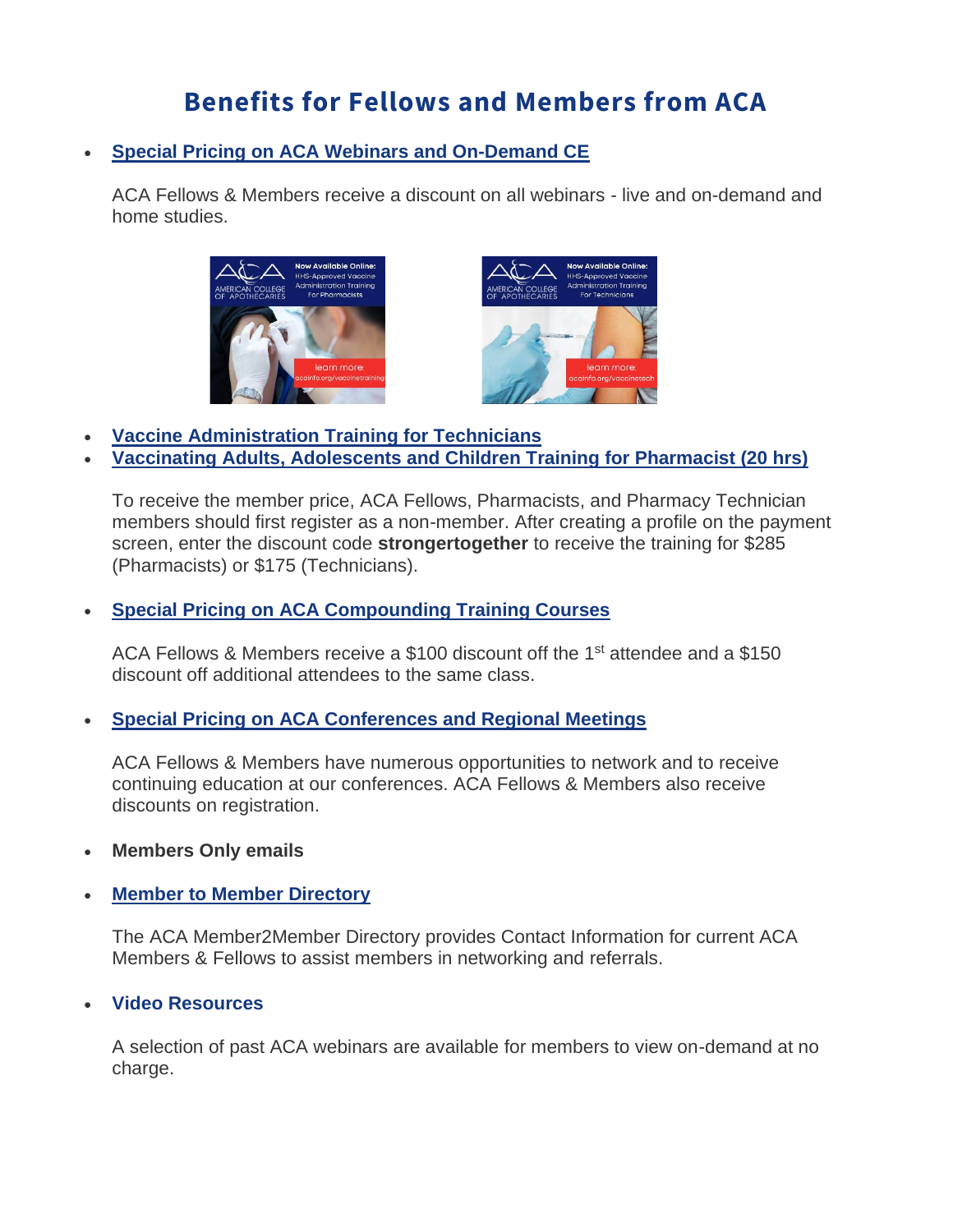# **Benefits for Fellows and Members from ACA**

## • **[Special Pricing on ACA Webinars and On-Demand CE](https://acainfo.org/live-webinars-on-demand-ce/)**

ACA Fellows & Members receive a discount on all webinars - live and on-demand and home studies.





- **[Vaccine Administration Training for Technicians](https://acainfo.org/vaccinetech/)**
- **[Vaccinating Adults, Adolescents and Children Training for Pharmacist \(20 hrs\)](https://acainfo.org/vaccinetraining/)**

To receive the member price, ACA Fellows, Pharmacists, and Pharmacy Technician members should first register as a non-member. After creating a profile on the payment screen, enter the discount code **strongertogether** to receive the training for \$285 (Pharmacists) or \$175 (Technicians).

# • **[Special Pricing on](https://acainfo.org/live-webinars-on-demand-ce/) [ACA Compounding Training Courses](https://acainfo.org/compounding-training-courses/)**

ACA Fellows & Members receive a \$100 discount off the 1<sup>st</sup> attendee and a \$150 discount off additional attendees to the same class.

## • **[Special Pricing on](https://acainfo.org/live-webinars-on-demand-ce/) [ACA Conferences and Regional Meetings](https://acainfo.org/conferences-and-workshops/)**

ACA Fellows & Members have numerous opportunities to network and to receive continuing education at our conferences. ACA Fellows & Members also receive discounts on registration.

• **Members Only emails**

## **[Member to Member Directory](https://acainfo.org/directory/)**

The ACA Member2Member Directory provides Contact Information for current ACA Members & Fellows to assist members in networking and referrals.

## • **[Video Resources](https://acainfo.org/member-discounts/)**

A selection of past ACA webinars are available for members to view on-demand at no charge.